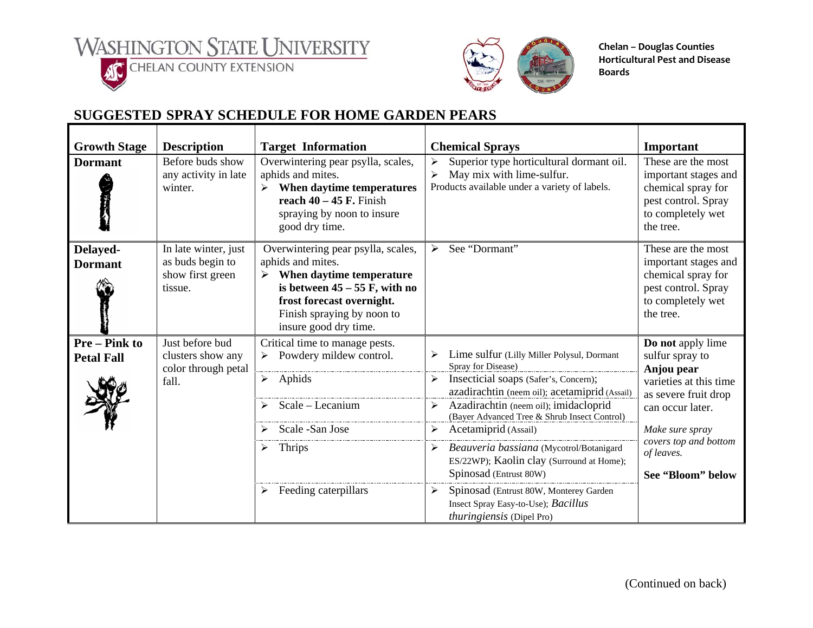WASHINGTON STATE UNIVERSITY





**Chelan – Douglas Counties Horticultural Pest and Disease Boards**

## **SUGGESTED SPRAY SCHEDULE FOR HOME GARDEN PEARS**

| <b>Growth Stage</b>                     | <b>Description</b>                                                      | <b>Target Information</b>                                                                                                                                                                                                           | <b>Chemical Sprays</b>                                                                                                                                                                                                                                                                | Important                                                                                                                                   |
|-----------------------------------------|-------------------------------------------------------------------------|-------------------------------------------------------------------------------------------------------------------------------------------------------------------------------------------------------------------------------------|---------------------------------------------------------------------------------------------------------------------------------------------------------------------------------------------------------------------------------------------------------------------------------------|---------------------------------------------------------------------------------------------------------------------------------------------|
| <b>Dormant</b>                          | Before buds show<br>any activity in late<br>winter.                     | Overwintering pear psylla, scales,<br>aphids and mites.<br>When daytime temperatures<br>reach $40 - 45$ F. Finish<br>spraying by noon to insure<br>good dry time.                                                                   | Superior type horticultural dormant oil.<br>➤<br>May mix with lime-sulfur.<br>$\blacktriangleright$<br>Products available under a variety of labels.                                                                                                                                  | These are the most<br>important stages and<br>chemical spray for<br>pest control. Spray<br>to completely wet<br>the tree.                   |
| Delayed-<br><b>Dormant</b>              | In late winter, just<br>as buds begin to<br>show first green<br>tissue. | Overwintering pear psylla, scales,<br>aphids and mites.<br>When daytime temperature<br>$\blacktriangleright$<br>is between $45 - 55$ F, with no<br>frost forecast overnight.<br>Finish spraying by noon to<br>insure good dry time. | See "Dormant"<br>➤                                                                                                                                                                                                                                                                    | These are the most<br>important stages and<br>chemical spray for<br>pest control. Spray<br>to completely wet<br>the tree.                   |
| <b>Pre-Pink to</b><br><b>Petal Fall</b> | Just before bud<br>clusters show any<br>color through petal<br>fall.    | Critical time to manage pests.<br>Powdery mildew control.<br>$\triangleright$ Aphids<br>$\triangleright$ Scale – Lecanium<br>Scale - San Jose                                                                                       | Lime sulfur (Lilly Miller Polysul, Dormant<br>Spray for Disease)<br>Insecticial soaps (Safer's, Concern);<br>➤<br>azadirachtin (neem oil); acetamiprid (Assail)<br>Azadirachtin (neem oil); imidacloprid<br>➤<br>(Bayer Advanced Tree & Shrub Insect Control)<br>Acetamiprid (Assail) | Do not apply lime<br>sulfur spray to<br>Anjou pear<br>varieties at this time<br>as severe fruit drop<br>can occur later.<br>Make sure spray |
|                                         |                                                                         | $\triangleright$ Thrips<br>Feeding caterpillars                                                                                                                                                                                     | Beauveria bassiana (Mycotrol/Botanigard<br>➤<br>ES/22WP); Kaolin clay (Surround at Home);<br>Spinosad (Entrust 80W)<br>Spinosad (Entrust 80W, Monterey Garden<br>➤<br>Insect Spray Easy-to-Use); Bacillus<br><i>thuringiensis</i> (Dipel Pro)                                         | covers top and bottom<br>of leaves.<br>See "Bloom" below                                                                                    |